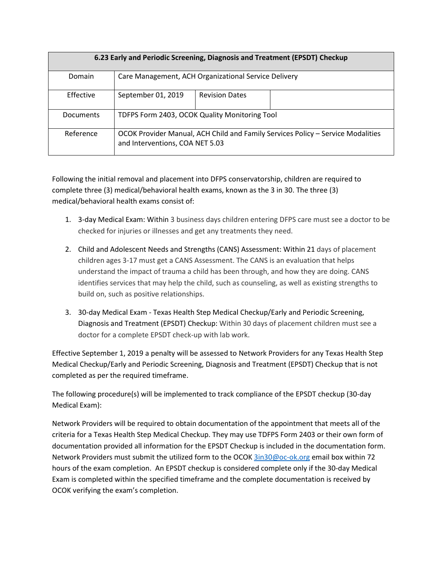| 6.23 Early and Periodic Screening, Diagnosis and Treatment (EPSDT) Checkup |                                                                                                                    |                       |  |
|----------------------------------------------------------------------------|--------------------------------------------------------------------------------------------------------------------|-----------------------|--|
| Domain                                                                     | Care Management, ACH Organizational Service Delivery                                                               |                       |  |
| Effective                                                                  | September 01, 2019                                                                                                 | <b>Revision Dates</b> |  |
| <b>Documents</b>                                                           | TDFPS Form 2403, OCOK Quality Monitoring Tool                                                                      |                       |  |
| Reference                                                                  | OCOK Provider Manual, ACH Child and Family Services Policy - Service Modalities<br>and Interventions, COA NET 5.03 |                       |  |

Following the initial removal and placement into DFPS conservatorship, children are required to complete three (3) medical/behavioral health exams, known as the 3 in 30. The three (3) medical/behavioral health exams consist of:

- 1. 3-day Medical Exam: Within 3 business days children entering DFPS care must see a doctor to be checked for injuries or illnesses and get any treatments they need.
- 2. Child and Adolescent Needs and Strengths (CANS) Assessment: Within 21 days of placement children ages 3-17 must get a CANS Assessment. The CANS is an evaluation that helps understand the impact of trauma a child has been through, and how they are doing. CANS identifies services that may help the child, such as counseling, as well as existing strengths to build on, such as positive relationships.
- 3. 30-day Medical Exam Texas Health Step Medical Checkup/Early and Periodic Screening, Diagnosis and Treatment (EPSDT) Checkup: Within 30 days of placement children must see a doctor for a complete EPSDT check-up with lab work.

Effective September 1, 2019 a penalty will be assessed to Network Providers for any Texas Health Step Medical Checkup/Early and Periodic Screening, Diagnosis and Treatment (EPSDT) Checkup that is not completed as per the required timeframe.

The following procedure(s) will be implemented to track compliance of the EPSDT checkup (30-day Medical Exam):

Network Providers will be required to obtain documentation of the appointment that meets all of the criteria for a Texas Health Step Medical Checkup. They may use TDFPS Form 2403 or their own form of documentation provided all information for the EPSDT Checkup is included in the documentation form. Network Providers must submit the utilized form to the OCOK [3in30@oc-ok.org](mailto:3in30@oc-ok.org) email box within 72 hours of the exam completion. An EPSDT checkup is considered complete only if the 30-day Medical Exam is completed within the specified timeframe and the complete documentation is received by OCOK verifying the exam's completion.